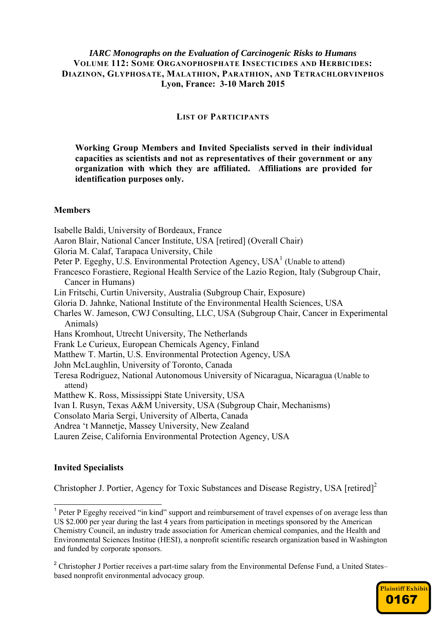## *IARC Monographs on the Evaluation of Carcinogenic Risks to Humans*  **VOLUME 112: SOME ORGANOPHOSPHATE INSECTICIDES AND HERBICIDES: DIAZINON, GLYPHOSATE, MALATHION, PARATHION, AND TETRACHLORVINPHOS Lyon, France: 3-10 March 2015**

#### **LIST OF PARTICIPANTS**

**Working Group Members and Invited Specialists served in their individual capacities as scientists and not as representatives of their government or any organization with which they are affiliated. Affiliations are provided for identification purposes only.** 

#### **Members**

Isabelle Baldi, University of Bordeaux, France Aaron Blair, National Cancer Institute, USA [retired] (Overall Chair) Gloria M. Calaf, Tarapaca University, Chile Peter P. Egeghy, U.S. Environmental Protection Agency,  $USA<sup>1</sup>$  (Unable to attend) Francesco Forastiere, Regional Health Service of the Lazio Region, Italy (Subgroup Chair, Cancer in Humans) Lin Fritschi, Curtin University, Australia (Subgroup Chair, Exposure) Gloria D. Jahnke, National Institute of the Environmental Health Sciences, USA Charles W. Jameson, CWJ Consulting, LLC, USA (Subgroup Chair, Cancer in Experimental Animals) Hans Kromhout, Utrecht University, The Netherlands Frank Le Curieux, European Chemicals Agency, Finland Matthew T. Martin, U.S. Environmental Protection Agency, USA John McLaughlin, University of Toronto, Canada Teresa Rodriguez, National Autonomous University of Nicaragua, Nicaragua (Unable to attend) Matthew K. Ross, Mississippi State University, USA Ivan I. Rusyn, Texas A&M University, USA (Subgroup Chair, Mechanisms) Consolato Maria Sergi, University of Alberta, Canada Andrea 't Mannetje, Massey University, New Zealand Lauren Zeise, California Environmental Protection Agency, USA

# **Invited Specialists**

Christopher J. Portier, Agency for Toxic Substances and Disease Registry, USA [retired]<sup>2</sup>

<sup>&</sup>lt;sup>2</sup> Christopher J Portier receives a part-time salary from the Environmental Defense Fund, a United States– based nonprofit environmental advocacy group.



<sup>&</sup>lt;sup>1</sup> Peter P Egeghy received "in kind" support and reimbursement of travel expenses of on average less than US \$2.000 per year during the last 4 years from participation in meetings sponsored by the American Chemistry Council, an industry trade association for American chemical companies, and the Health and Environmental Sciences Institue (HESI), a nonprofit scientific research organization based in Washington and funded by corporate sponsors.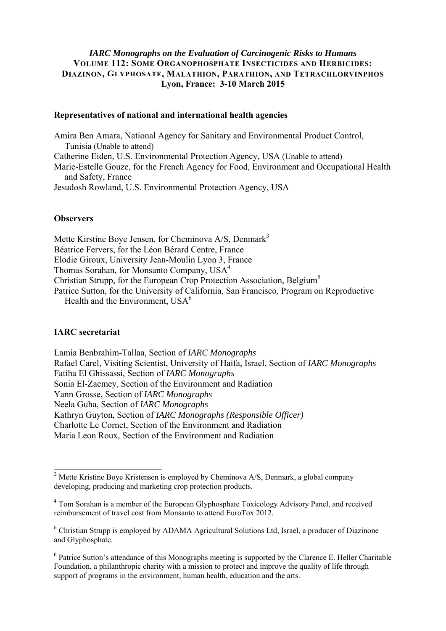## *IARC Monographs on the Evaluation of Carcinogenic Risks to Humans*  **VOLUME 112: SOME ORGANOPHOSPHATE INSECTICIDES AND HERBICIDES: DIAZINON, [GLYPHOSATE](https://www.baumhedlundlaw.com/toxic-tort-law/monsanto-roundup-lawsuit/), MALATHION, PARATHION, AND TETRACHLORVINPHOS Lyon, France: 3-10 March 2015**

#### **Representatives of national and international health agencies**

Amira Ben Amara, National Agency for Sanitary and Environmental Product Control, Tunisia (Unable to attend) Catherine Eiden, U.S. Environmental Protection Agency, USA (Unable to attend) Marie-Estelle Gouze, for the French Agency for Food, Environment and Occupational Health and Safety, France Jesudosh Rowland, U.S. Environmental Protection Agency, USA

# **Observers**

Mette Kirstine Boye Jensen, for Cheminova  $A/S$ , Denmark<sup>3</sup> Béatrice Fervers, for the Léon Bérard Centre, France Elodie Giroux, University Jean-Moulin Lyon 3, France Thomas Sorahan, for Monsanto Company, USA<sup>4</sup> Christian Strupp, for the European Crop Protection Association, Belgium<sup>5</sup> Patrice Sutton, for the University of California, San Francisco, Program on Reproductive Health and the Environment,  $USA<sup>6</sup>$ 

#### **IARC secretariat**

Lamia Benbrahim-Tallaa, Section of *IARC Monographs* Rafael Carel, Visiting Scientist, University of Haifa, Israel, Section of *IARC Monographs* Fatiha El Ghissassi, Section of *IARC Monographs* Sonia El-Zaemey, Section of the Environment and Radiation Yann Grosse, Section of *IARC Monographs* Neela Guha, Section of *IARC Monographs* Kathryn Guyton, Section of *IARC Monographs (Responsible Officer)*  Charlotte Le Cornet, Section of the Environment and Radiation Maria Leon Roux, Section of the Environment and Radiation

<sup>&</sup>lt;sup>3</sup> Mette Kristine Boye Kristensen is employed by Cheminova A/S, Denmark, a global company developing, producing and marketing crop protection products.

<sup>&</sup>lt;sup>4</sup> Tom Sorahan is a member of the European Glyphosphate Toxicology Advisory Panel, and received reimbursement of travel cost from Monsanto to attend EuroTox 2012.

<sup>&</sup>lt;sup>5</sup> Christian Strupp is employed by ADAMA Agricultural Solutions Ltd, Israel, a producer of Diazinone and Glyphosphate.

<sup>&</sup>lt;sup>6</sup> Patrice Sutton's attendance of this Monographs meeting is supported by the Clarence E. Heller Charitable Foundation, a philanthropic charity with a mission to protect and improve the quality of life through support of programs in the environment, human health, education and the arts.